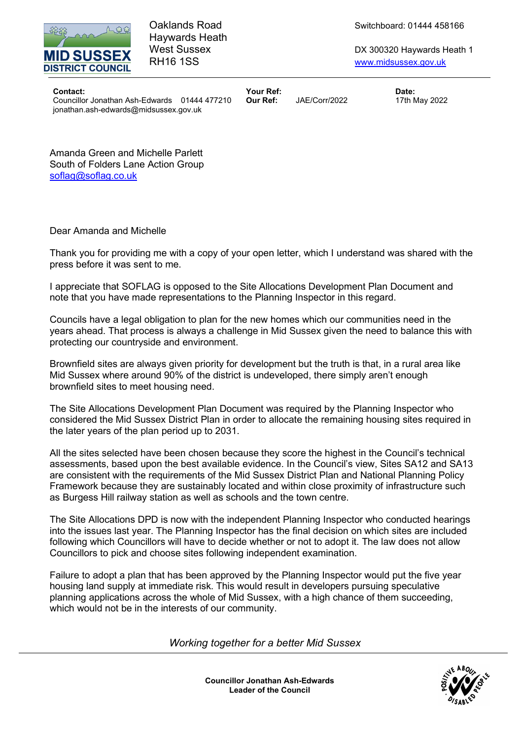

Haywards Heath

Oaklands Road Switchboard: 01444 458166

West Sussex **DX 300320 Haywards Heath 1** RH16 1SS www.midsussex.gov.uk

Contact: Your Ref: Date: Councillor Jonathan Ash-Edwards 01444 477210 Our Ref: JAE/Corr/2022 17th May 2022 jonathan.ash-edwards@midsussex.gov.uk

Amanda Green and Michelle Parlett South of Folders Lane Action Group soflag@soflag.co.uk

Dear Amanda and Michelle

Thank you for providing me with a copy of your open letter, which I understand was shared with the press before it was sent to me.

I appreciate that SOFLAG is opposed to the Site Allocations Development Plan Document and note that you have made representations to the Planning Inspector in this regard.

Councils have a legal obligation to plan for the new homes which our communities need in the years ahead. That process is always a challenge in Mid Sussex given the need to balance this with protecting our countryside and environment.

Brownfield sites are always given priority for development but the truth is that, in a rural area like Mid Sussex where around 90% of the district is undeveloped, there simply aren't enough brownfield sites to meet housing need.

The Site Allocations Development Plan Document was required by the Planning Inspector who considered the Mid Sussex District Plan in order to allocate the remaining housing sites required in the later years of the plan period up to 2031.

All the sites selected have been chosen because they score the highest in the Council's technical assessments, based upon the best available evidence. In the Council's view, Sites SA12 and SA13 are consistent with the requirements of the Mid Sussex District Plan and National Planning Policy Framework because they are sustainably located and within close proximity of infrastructure such as Burgess Hill railway station as well as schools and the town centre.

The Site Allocations DPD is now with the independent Planning Inspector who conducted hearings into the issues last year. The Planning Inspector has the final decision on which sites are included following which Councillors will have to decide whether or not to adopt it. The law does not allow Councillors to pick and choose sites following independent examination.

Failure to adopt a plan that has been approved by the Planning Inspector would put the five year housing land supply at immediate risk. This would result in developers pursuing speculative planning applications across the whole of Mid Sussex, with a high chance of them succeeding, which would not be in the interests of our community.

Working together for a better Mid Sussex



Councillor Jonathan Ash-Edwards Leader of the Council